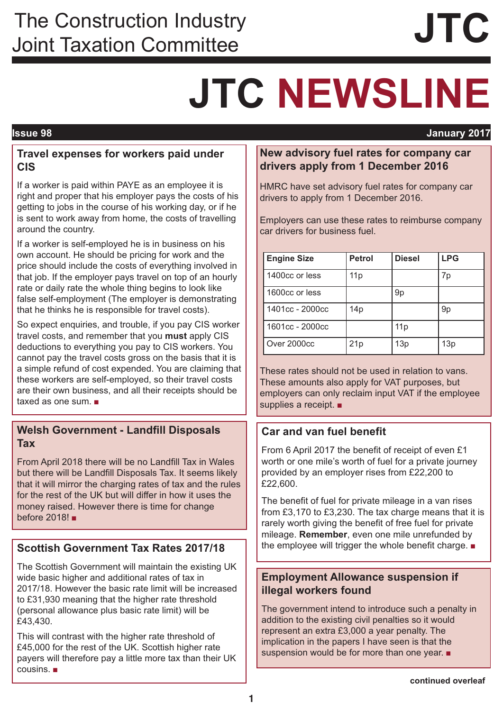## The Construction Industry<br>
Joint Taxation Committee<br> **JTC**

# **JTC NEWSLINE**

### **Issue 98 January 2017**

### **Travel expenses for workers paid under CIS**

If a worker is paid within PAYE as an employee it is right and proper that his employer pays the costs of his getting to jobs in the course of his working day, or if he is sent to work away from home, the costs of travelling around the country.

If a worker is self-employed he is in business on his own account. He should be pricing for work and the price should include the costs of everything involved in that job. If the employer pays travel on top of an hourly rate or daily rate the whole thing begins to look like false self-employment (The employer is demonstrating that he thinks he is responsible for travel costs).

So expect enquiries, and trouble, if you pay CIS worker travel costs, and remember that you **must** apply CIS deductions to everything you pay to CIS workers. You cannot pay the travel costs gross on the basis that it is a simple refund of cost expended. You are claiming that these workers are self-employed, so their travel costs are their own business, and all their receipts should be taxed as one sum. ■

### **Welsh Government - Landfill Disposals Tax**

From April 2018 there will be no Landfill Tax in Wales but there will be Landfill Disposals Tax. It seems likely that it will mirror the charging rates of tax and the rules for the rest of the UK but will differ in how it uses the money raised. However there is time for change before 2018! ■

### **Scottish Government Tax Rates 2017/18**

The Scottish Government will maintain the existing UK wide basic higher and additional rates of tax in 2017/18. However the basic rate limit will be increased to £31,930 meaning that the higher rate threshold (personal allowance plus basic rate limit) will be £43,430.

This will contrast with the higher rate threshold of £45,000 for the rest of the UK. Scottish higher rate payers will therefore pay a little more tax than their UK cousins. ■

### **New advisory fuel rates for company car drivers apply from 1 December 2016**

HMRC have set advisory fuel rates for company car drivers to apply from 1 December 2016.

Employers can use these rates to reimburse company car drivers for business fuel.

| <b>Engine Size</b>         | <b>Petrol</b>   | <b>Diesel</b> | <b>LPG</b> |
|----------------------------|-----------------|---------------|------------|
| 1400cc or less             | 11p             |               | 7p         |
| 1600 <sub>cc</sub> or less |                 | 9p            |            |
| 1401cc - 2000cc            | 14 <sub>p</sub> |               | 9p         |
| 1601cc - 2000cc            |                 | 11p           |            |
| Over 2000cc                | 21p             | 13p           | 13p        |

These rates should not be used in relation to vans. These amounts also apply for VAT purposes, but employers can only reclaim input VAT if the employee supplies a receipt. ■

### **Car and van fuel benefit**

From 6 April 2017 the benefit of receipt of even £1 worth or one mile's worth of fuel for a private journey provided by an employer rises from £22,200 to £22,600.

The benefit of fuel for private mileage in a van rises from £3,170 to £3,230. The tax charge means that it is rarely worth giving the benefit of free fuel for private mileage. **Remember**, even one mile unrefunded by the employee will trigger the whole benefit charge. ■

### **Employment Allowance suspension if illegal workers found**

The government intend to introduce such a penalty in addition to the existing civil penalties so it would represent an extra £3,000 a year penalty. The implication in the papers I have seen is that the suspension would be for more than one year. ■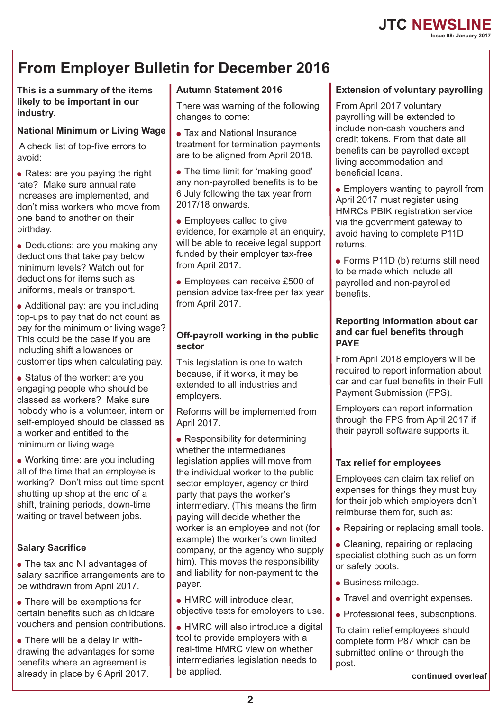### **From Employer Bulletin for December 2016**

**This is a summary of the items likely to be important in our industry.**

### **National Minimum or Living Wage**

A check list of top-five errors to avoid:

 $\bullet$  Rates: are you paying the right rate? Make sure annual rate increases are implemented, and don't miss workers who move from one band to another on their birthday.

• Deductions: are you making any deductions that take pay below minimum levels? Watch out for deductions for items such as uniforms, meals or transport.

• Additional pay: are you including top-ups to pay that do not count as pay for the minimum or living wage? This could be the case if you are including shift allowances or customer tips when calculating pay.

• Status of the worker: are you engaging people who should be classed as workers? Make sure nobody who is a volunteer, intern or self-employed should be classed as a worker and entitled to the minimum or living wage.

• Working time: are you including all of the time that an employee is working? Don't miss out time spent shutting up shop at the end of a shift, training periods, down-time waiting or travel between jobs.

### **Salary Sacrifice**

• The tax and NI advantages of salary sacrifice arrangements are to be withdrawn from April 2017.

• There will be exemptions for certain benefits such as childcare vouchers and pension contributions.

 $\bullet$  There will be a delay in withdrawing the advantages for some benefits where an agreement is already in place by 6 April 2017.

### **Autumn Statement 2016**

There was warning of the following changes to come:

- Tax and National Insurance treatment for termination payments are to be aligned from April 2018.
- The time limit for 'making good' any non-payrolled benefits is to be 6 July following the tax year from 2017/18 onwards.

• Employees called to give evidence, for example at an enquiry. will be able to receive legal support funded by their employer tax-free from April 2017.

• Employees can receive £500 of pension advice tax-free per tax year from April 2017.

### **Off-payroll working in the public sector**

This legislation is one to watch because, if it works, it may be extended to all industries and employers.

Reforms will be implemented from April 2017.

• Responsibility for determining whether the intermediaries legislation applies will move from the individual worker to the public sector employer, agency or third party that pays the worker's intermediary. (This means the firm paying will decide whether the worker is an employee and not (for example) the worker's own limited company, or the agency who supply him). This moves the responsibility and liability for non-payment to the payer.

• HMRC will introduce clear, objective tests for employers to use.

• HMRC will also introduce a digital tool to provide employers with a real-time HMRC view on whether intermediaries legislation needs to be applied.

### **Extension of voluntary payrolling**

From April 2017 voluntary payrolling will be extended to include non-cash vouchers and credit tokens. From that date all benefits can be payrolled except living accommodation and beneficial loans.

- Employers wanting to payroll from April 2017 must register using HMRCs PBIK registration service via the government gateway to avoid having to complete P11D returns.
- Forms P11D (b) returns still need to be made which include all payrolled and non-payrolled benefits.

### **Reporting information about car and car fuel benefits through PAYE**

From April 2018 employers will be required to report information about car and car fuel benefits in their Full Payment Submission (FPS).

Employers can report information through the FPS from April 2017 if their payroll software supports it.

### **Tax relief for employees**

Employees can claim tax relief on expenses for things they must buy for their job which employers don't reimburse them for, such as:

• Repairing or replacing small tools.

• Cleaning, repairing or replacing specialist clothing such as uniform or safety boots.

- Business mileage.
- Travel and overnight expenses.
- Professional fees, subscriptions.

To claim relief employees should complete form P87 which can be submitted online or through the post.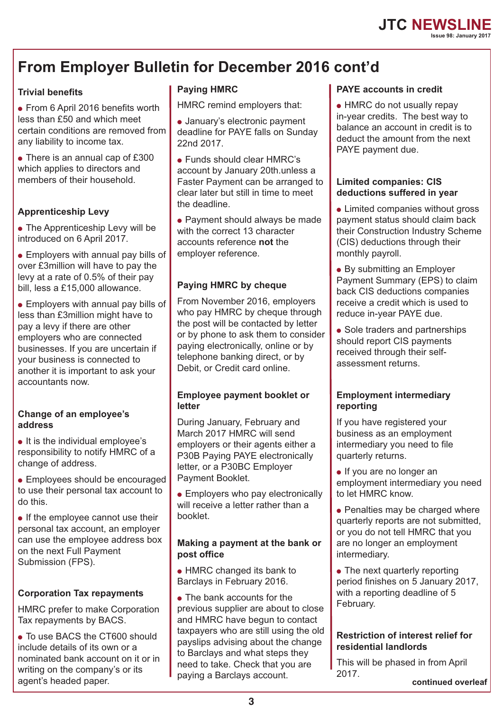### **JTC NEWSLINE Issue 98: January 2017**

## **From Employer Bulletin for December 2016 cont'd**

### **Trivial benefits**

● From 6 April 2016 benefits worth less than £50 and which meet certain conditions are removed from any liability to income tax.

• There is an annual cap of £300 which applies to directors and members of their household.

### **Apprenticeship Levy**

• The Apprenticeship Levy will be introduced on 6 April 2017.

• Employers with annual pay bills of over £3million will have to pay the levy at a rate of 0.5% of their pay bill, less a £15,000 allowance.

• Employers with annual pay bills of less than £3million might have to pay a levy if there are other employers who are connected businesses. If you are uncertain if your business is connected to another it is important to ask your accountants now.

### **Change of an employee's address**

● It is the individual employee's responsibility to notify HMRC of a change of address.

• Employees should be encouraged to use their personal tax account to do this.

• If the employee cannot use their personal tax account, an employer can use the employee address box on the next Full Payment Submission (FPS).

### **Corporation Tax repayments**

HMRC prefer to make Corporation Tax repayments by BACS.

● To use BACS the CT600 should include details of its own or a nominated bank account on it or in writing on the company's or its agent's headed paper.

### **Paying HMRC**

HMRC remind employers that:

- January's electronic payment deadline for PAYE falls on Sunday 22nd 2017.
- Funds should clear HMRC's account by January 20th.unless a Faster Payment can be arranged to clear later but still in time to meet the deadline.

• Payment should always be made with the correct 13 character accounts reference **not** the employer reference.

### **Paying HMRC by cheque**

From November 2016, employers who pay HMRC by cheque through the post will be contacted by letter or by phone to ask them to consider paying electronically, online or by telephone banking direct, or by Debit, or Credit card online.

### **Employee payment booklet or letter**

During January, February and March 2017 HMRC will send employers or their agents either a P30B Paying PAYE electronically letter, or a P30BC Employer Payment Booklet.

• Employers who pay electronically will receive a letter rather than a booklet.

### **Making a payment at the bank or post office**

- HMRC changed its bank to Barclays in February 2016.
- The bank accounts for the previous supplier are about to close and HMRC have begun to contact taxpayers who are still using the old payslips advising about the change to Barclays and what steps they need to take. Check that you are paying a Barclays account.

### **PAYE accounts in credit**

• HMRC do not usually repay in-year credits. The best way to balance an account in credit is to deduct the amount from the next PAYE payment due.

#### **Limited companies: CIS deductions suffered in year**

- Limited companies without gross payment status should claim back their Construction Industry Scheme (CIS) deductions through their monthly payroll.
- By submitting an Employer Payment Summary (EPS) to claim back CIS deductions companies receive a credit which is used to reduce in-year PAYE due.
- Sole traders and partnerships should report CIS payments received through their selfassessment returns.

### **Employment intermediary reporting**

If you have registered your business as an employment intermediary you need to file quarterly returns.

- If you are no longer an employment intermediary you need to let HMRC know.
- Penalties may be charged where quarterly reports are not submitted, or you do not tell HMRC that you are no longer an employment intermediary.
- The next quarterly reporting period finishes on 5 January 2017, with a reporting deadline of 5 February.

### **Restriction of interest relief for residential landlords**

This will be phased in from April 2017.

**continued overleaf**